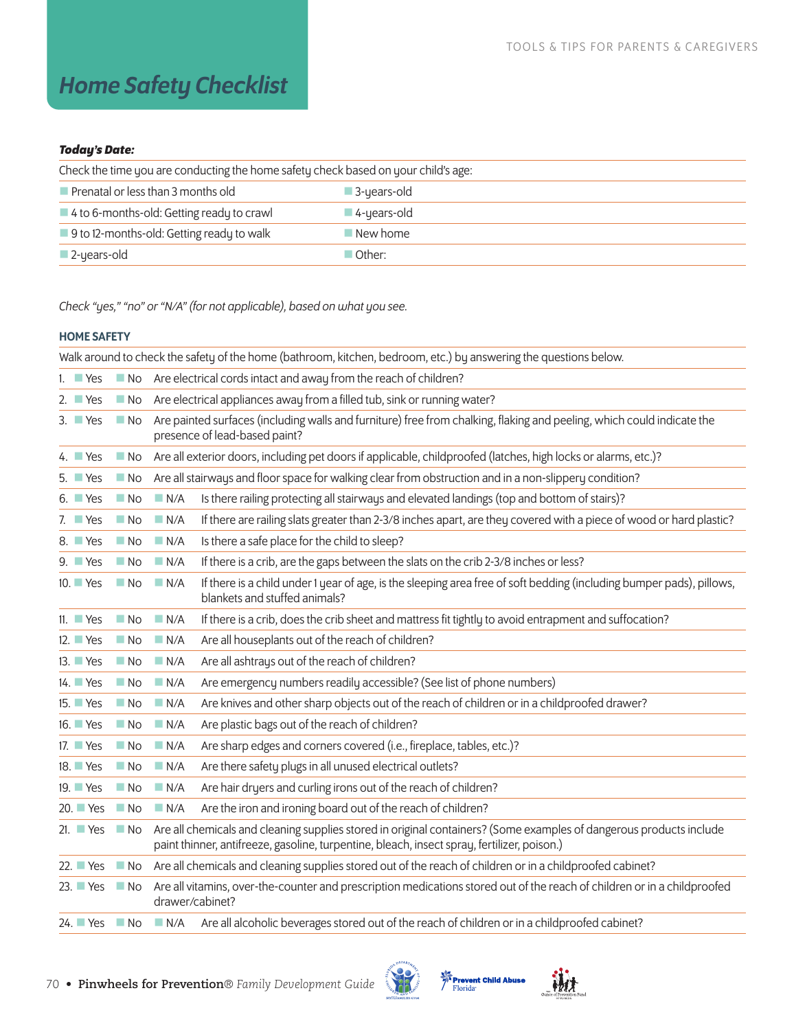# *Home Safety Checklist*

### *Today's Date:*

| Check the time you are conducting the home safety check based on your child's age: |                            |  |
|------------------------------------------------------------------------------------|----------------------------|--|
| $\blacksquare$ Prenatal or less than 3 months old                                  | $\blacksquare$ 3-years-old |  |
| 4 to 6-months-old: Getting ready to crawl                                          | 4-years-old                |  |
| 9 to 12-months-old: Getting ready to walk                                          | New home                   |  |
| 2-years-old                                                                        | Other:                     |  |

*Check "yes," "no" or "N/A" (for not applicable), based on what you see.*

#### HOME SAFETY

|                       |                   |                                                                                                                                                                                                                    | Walk around to check the safety of the home (bathroom, kitchen, bedroom, etc.) by answering the questions below.                                      |  |  |
|-----------------------|-------------------|--------------------------------------------------------------------------------------------------------------------------------------------------------------------------------------------------------------------|-------------------------------------------------------------------------------------------------------------------------------------------------------|--|--|
| 1. $Yes$              | $\blacksquare$ No |                                                                                                                                                                                                                    | Are electrical cords intact and away from the reach of children?                                                                                      |  |  |
| 2. $Yes$              | $\blacksquare$ No |                                                                                                                                                                                                                    | Are electrical appliances away from a filled tub, sink or running water?                                                                              |  |  |
| $3. \blacksquare$ Yes | – No              | Are painted surfaces (including walls and furniture) free from chalking, flaking and peeling, which could indicate the<br>presence of lead-based paint?                                                            |                                                                                                                                                       |  |  |
| 4. $Yes$              | $\blacksquare$ No |                                                                                                                                                                                                                    | Are all exterior doors, including pet doors if applicable, childproofed (latches, high locks or alarms, etc.)?                                        |  |  |
| $5.$ Yes              | ■ No              |                                                                                                                                                                                                                    | Are all stairways and floor space for walking clear from obstruction and in a non-slippery condition?                                                 |  |  |
| 6. $Nes$              | $\blacksquare$ No | N/A                                                                                                                                                                                                                | Is there railing protecting all stairways and elevated landings (top and bottom of stairs)?                                                           |  |  |
| 7. $Yes$              | – No              | N/A                                                                                                                                                                                                                | If there are railing slats greater than 2-3/8 inches apart, are they covered with a piece of wood or hard plastic?                                    |  |  |
| 8. Yes                | ⊟ No              | N/A                                                                                                                                                                                                                | Is there a safe place for the child to sleep?                                                                                                         |  |  |
| $9.$ Yes              | $\blacksquare$ No | N/A                                                                                                                                                                                                                | If there is a crib, are the gaps between the slats on the crib 2-3/8 inches or less?                                                                  |  |  |
| 10. Yes               | $\blacksquare$ No | $\Box$ N/A                                                                                                                                                                                                         | If there is a child under 1 year of age, is the sleeping area free of soft bedding (including bumper pads), pillows,<br>blankets and stuffed animals? |  |  |
| 11. $Yes$             | ⊟ No              | N/A                                                                                                                                                                                                                | If there is a crib, does the crib sheet and mattress fit tightly to avoid entrapment and suffocation?                                                 |  |  |
| 12. $Yes$             | ⊟ No              | N/A                                                                                                                                                                                                                | Are all houseplants out of the reach of children?                                                                                                     |  |  |
| $13.$ Yes             | $\blacksquare$ No | N/A                                                                                                                                                                                                                | Are all ashtrays out of the reach of children?                                                                                                        |  |  |
| $14.$ Yes             | ■ No              | N/A                                                                                                                                                                                                                | Are emergency numbers readily accessible? (See list of phone numbers)                                                                                 |  |  |
| $15.$ Yes             | ■ No              | N/A                                                                                                                                                                                                                | Are knives and other sharp objects out of the reach of children or in a childproofed drawer?                                                          |  |  |
| 16. Yes               | $\blacksquare$ No | $\Box$ N/A                                                                                                                                                                                                         | Are plastic bags out of the reach of children?                                                                                                        |  |  |
| 17. $Yes$             | ■ No              | $\Box$ N/A                                                                                                                                                                                                         | Are sharp edges and corners covered (i.e., fireplace, tables, etc.)?                                                                                  |  |  |
| 18. Yes               | $\blacksquare$ No | $\Box$ N/A                                                                                                                                                                                                         | Are there safety plugs in all unused electrical outlets?                                                                                              |  |  |
| $19.$ Yes             | ⊟ No              | N/A                                                                                                                                                                                                                | Are hair druers and curling irons out of the reach of children?                                                                                       |  |  |
| $20.$ Yes             | $\blacksquare$ No | N/A                                                                                                                                                                                                                | Are the iron and ironing board out of the reach of children?                                                                                          |  |  |
| $21.$ Yes             | $\blacksquare$ No | Are all chemicals and cleaning supplies stored in original containers? (Some examples of dangerous products include<br>paint thinner, antifreeze, gasoline, turpentine, bleach, insect spray, fertilizer, poison.) |                                                                                                                                                       |  |  |
| $22.$ Yes             | ■ No              | Are all chemicals and cleaning supplies stored out of the reach of children or in a childproofed cabinet?                                                                                                          |                                                                                                                                                       |  |  |
| $23.$ Yes             | $\blacksquare$ No | Are all vitamins, over-the-counter and prescription medications stored out of the reach of children or in a childproofed<br>drawer/cabinet?                                                                        |                                                                                                                                                       |  |  |
|                       |                   |                                                                                                                                                                                                                    | 24. Yes No N/A Are all alcoholic beverages stored out of the reach of children or in a childproofed cabinet?                                          |  |  |